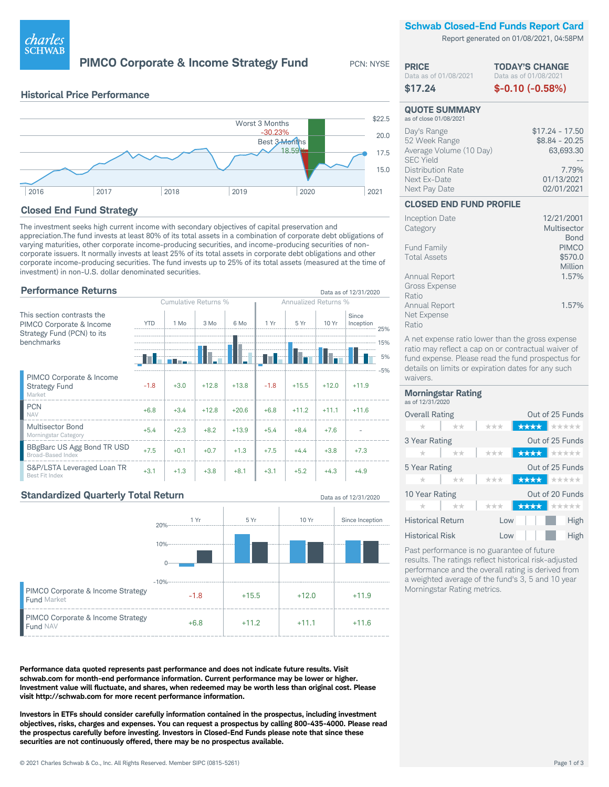

**PIMCO Corporate & Income Strategy Fund** 

PCN: NYSE

Data as of 12/31/2020

**PRICE** 

**Schwab Closed-End Funds Report Card** 

Report generated on 01/08/2021, 04:58PM

**TODAY'S CHANGE** 

|      | <b>Historical Price Performance</b> |      |                |                            |        |
|------|-------------------------------------|------|----------------|----------------------------|--------|
|      |                                     |      | Worst 3 Months |                            | \$22.5 |
|      |                                     |      |                | $-30.23%$<br>Best 3-Months | 20.0   |
|      |                                     |      |                | 18.59%                     | 17.5   |
|      |                                     |      |                |                            | 15.0   |
| 2016 | 2017                                | 2018 | 2019           | 2020                       | 2021   |

# **Closed End Fund Strategy**

The investment seeks high current income with secondary objectives of capital preservation and appreciation. The fund invests at least 80% of its total assets in a combination of corporate debt obligations of varying maturities, other corporate income-producing securities, and income-producing securities of noncorporate issuers. It normally invests at least 25% of its total assets in corporate debt obligations and other corporate income-producing securities. The fund invests up to 25% of its total assets (measured at the time of investment) in non-U.S. dollar denominated securities.

# **Performance Returns**

|                                                            | Cumulative Returns % |        |         | <b>Annualized Returns %</b> |        |         |         |                    |           |
|------------------------------------------------------------|----------------------|--------|---------|-----------------------------|--------|---------|---------|--------------------|-----------|
| This section contrasts the<br>PIMCO Corporate & Income     | <b>YTD</b>           | 1 Mo   | $3$ Mo  | 6 Mo                        | 1 Yr   | 5 Yr    | 10 Yr   | Since<br>Inception | $-25%$    |
| Strategy Fund (PCN) to its<br>benchmarks                   |                      |        |         |                             |        |         |         |                    | 15%<br>5% |
|                                                            |                      |        |         |                             |        |         |         |                    | $-5%$     |
| PIMCO Corporate & Income<br><b>Strategy Fund</b><br>Market | $-1.8$               | $+3.0$ | $+12.8$ | $+13.8$                     | $-1.8$ | $+15.5$ | $+12.0$ | $+11.9$            |           |
| <b>PCN</b><br><b>NAV</b>                                   | $+6.8$               | $+3.4$ | $+12.8$ | $+20.6$                     | $+6.8$ | $+11.2$ | $+11.1$ | $+11.6$            |           |
| <b>Multisector Bond</b><br>Morningstar Category            | $+5.4$               | $+2.3$ | $+8.2$  | $+13.9$                     | $+5.4$ | $+8.4$  | $+7.6$  |                    |           |
| BBgBarc US Agg Bond TR USD<br><b>Broad-Based Index</b>     | $+7.5$               | $+0.1$ | $+0.7$  | $+1.3$                      | $+7.5$ | $+4.4$  | $+3.8$  | $+7.3$             |           |
| S&P/LSTA Leveraged Loan TR<br>Best Fit Index               | $+3.1$               | $+1.3$ | $+3.8$  | $+8.1$                      | $+3.1$ | $+5.2$  | $+4.3$  | $+4.9$             |           |

# **Standardized Quarterly Total Return**



Performance data quoted represents past performance and does not indicate future results. Visit schwab.com for month-end performance information. Current performance may be lower or higher. Investment value will fluctuate, and shares, when redeemed may be worth less than original cost. Please visit http://schwab.com for more recent performance information.

Investors in ETFs should consider carefully information contained in the prospectus, including investment objectives, risks, charges and expenses. You can request a prospectus by calling 800-435-4000. Please read the prospectus carefully before investing. Investors in Closed-End Funds please note that since these securities are not continuously offered, there may be no prospectus available.

| Data as of 01/08/2021<br>\$17.24                                                                                                  | Data as of 01/08/2021<br>$$-0.10 (-0.58%)$                                            |
|-----------------------------------------------------------------------------------------------------------------------------------|---------------------------------------------------------------------------------------|
| <b>QUOTE SUMMARY</b><br>as of close 01/08/2021                                                                                    |                                                                                       |
| Day's Range<br>52 Week Range<br>Average Volume (10 Day)<br><b>SEC Yield</b><br>Distribution Rate<br>Next Ex-Date<br>Next Pay Date | $$17.24 - 17.50$<br>$$8.84 - 20.25$<br>63,693.30<br>7.79%<br>01/13/2021<br>02/01/2021 |
| <b>CLOSED END FUND PROFILE</b>                                                                                                    |                                                                                       |

| Inception Date       | 12/21/2001   |
|----------------------|--------------|
| Category             | Multisector  |
|                      | Bond         |
| <b>Fund Family</b>   | <b>PIMCO</b> |
| <b>Total Assets</b>  | \$570.0      |
|                      | Million      |
| Annual Report        | 1.57%        |
| <b>Gross Expense</b> |              |
| Ratio                |              |
| Annual Report        | 1.57%        |
| Net Expense          |              |
| Ratio                |              |

A net expense ratio lower than the gross expense ratio may reflect a cap on or contractual waiver of fund expense. Please read the fund prospectus for details on limits or expiration dates for any such waivers.

#### **Morningstar Rating** as of 12/31/2020

| <b>Overall Rating</b>    | Out of 25 Funds |                    |  |  |  |
|--------------------------|-----------------|--------------------|--|--|--|
| $\star\star$<br>$\pm$    | ***             | <b>★★★★ ★</b> ★★★★ |  |  |  |
| 3 Year Rating            |                 | Out of 25 Funds    |  |  |  |
| **<br>$^{\star}$         | ***             | <b>★★★★ ★</b> ★★★★ |  |  |  |
| 5 Year Rating            |                 | Out of 25 Funds    |  |  |  |
| **<br>$^{\star}$         | ***             | <b>★★★★ ★</b> ★★★★ |  |  |  |
| 10 Year Rating           |                 | Out of 20 Funds    |  |  |  |
| $+ +$<br>$\pm$           | ***             | ★★★★ またたたた         |  |  |  |
| <b>Historical Return</b> | Low             | High               |  |  |  |
| <b>Historical Risk</b>   | Low             | High               |  |  |  |
|                          |                 |                    |  |  |  |

Past performance is no guarantee of future results. The ratings reflect historical risk-adjusted performance and the overall rating is derived from a weighted average of the fund's 3, 5 and 10 year Morningstar Rating metrics.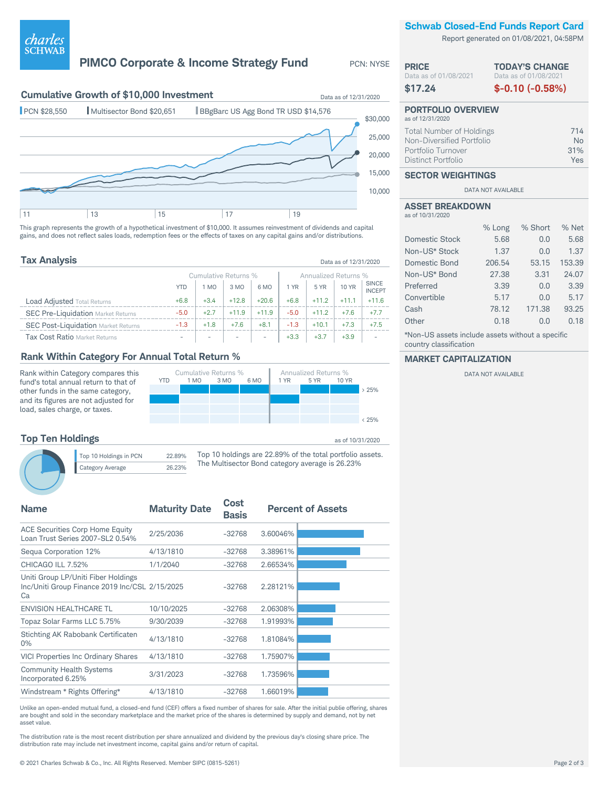## **Schwab Closed-End Funds Report Card**

Report generated on 01/08/2021, 04:58PM

## **PIMCO Corporate & Income Strategy Fund** PCN: NYSE



This graph represents the growth of a hypothetical investment of \$10,000. It assumes reinvestment of dividends and capital gains, and does not reflect sales loads, redemption fees or the effects of taxes on any capital gains and/or distributions.

| <b>Tax Analysis</b>                        |                      |        |         |                          |        |         | Data as of 12/31/2020 |                               |
|--------------------------------------------|----------------------|--------|---------|--------------------------|--------|---------|-----------------------|-------------------------------|
|                                            | Cumulative Returns % |        |         | Annualized Returns %     |        |         |                       |                               |
|                                            | <b>YTD</b>           | 1 MO   | 3 MO    | 6 MO                     | 1 YR   | 5 YR    | 10 YR                 | <b>SINCE</b><br><b>INCEPT</b> |
| <b>Load Adjusted Total Returns</b>         | $+6.8$               | $+3.4$ | $+12.8$ | $+20.6$                  | $+6.8$ | $+11.2$ | $+11.1$               | $+11.6$                       |
| <b>SEC Pre-Liquidation Market Returns</b>  | $-5.0$               | $+2.7$ | $+11.9$ | $+11.9$                  | $-5.0$ | $+11.2$ | $+7.6$                | $+7.7$                        |
| <b>SEC Post-Liquidation Market Returns</b> | $-1.3$               | $+1.8$ | $+7.6$  | $+8.1$                   | $-1.3$ | $+10.1$ | $+7.3$                | $+7.5$                        |
| Tax Cost Ratio Market Returns              |                      |        |         | $\overline{\phantom{a}}$ | $+3.3$ | $+3.7$  | $+3.9$                |                               |

### **Rank Within Category For Annual Total Return %**

Category Average 26.23%

Rank within Category compares this fund's total annual return to that of other funds in the same category, and its figures are not adjusted for load, sales charge, or taxes.





*charles*<br>schwab

Top 10 holdings are 22.89% of the total portfolio assets. The Multisector Bond category average is 26.23%

| <b>Maturity Date</b>                           | Cost<br><b>Basis</b> |          | <b>Percent of Assets</b> |
|------------------------------------------------|----------------------|----------|--------------------------|
| 2/25/2036                                      | $-32768$             | 3.60046% |                          |
| 4/13/1810                                      | $-32768$             | 3.38961% |                          |
| 1/1/2040                                       | $-32768$             | 2.66534% |                          |
| Inc/Uniti Group Finance 2019 Inc/CSL 2/15/2025 | $-32768$             | 2.28121% |                          |
| 10/10/2025                                     | $-32768$             | 2.06308% |                          |
| 9/30/2039                                      | $-32768$             | 1.91993% |                          |
| 4/13/1810                                      | $-32768$             | 1.81084% |                          |
| 4/13/1810                                      | $-32768$             | 1.75907% |                          |
| 3/31/2023                                      | $-32768$             | 1.73596% |                          |
| 4/13/1810                                      | $-32768$             | 1.66019% |                          |
|                                                |                      |          |                          |

Unlike an open-ended mutual fund, a closed-end fund (CEF) offers a fixed number of shares for sale. After the initial publie offering, shares are bought and sold in the secondary marketplace and the market price of the shares is determined by supply and demand, not by net asset value.

The distribution rate is the most recent distribution per share annualized and dividend by the previous day's closing share price. The distribution rate may include net investment income, capital gains and/or return of capital.

#### Data as of 01/08/2021 **\$17.24 TODAY'S CHANGE** Data as of 01/08/2021 **\$-0.10 (-0.58%) PORTFOLIO OVERVIEW** as of 12/31/2020 Total Number of Holdings 714 Non-Diversified Portfolio **Non-Non-Diversified Portfolio No**<br>Portfolio Turnover 31% Portfolio Turnover

## Distinct Portfolio Yes **SECTOR WEIGHTINGS**

DATA NOT AVAILABLE

|                  | <b>ASSET BREAKDOWN</b> |
|------------------|------------------------|
| as of 10/31/2020 |                        |

**PRICE**

|                | % Long | % Short | % Net  |
|----------------|--------|---------|--------|
| Domestic Stock | 5.68   | 0.0     | 5.68   |
| Non-US* Stock  | 1.37   | 0.0     | 1.37   |
| Domestic Bond  | 206.54 | 53.15   | 153.39 |
| Non-US* Bond   | 27.38  | 3.31    | 24.07  |
| Preferred      | 3.39   | 0.0     | 3.39   |
| Convertible    | 5.17   | 0.0     | 5.17   |
| Cash           | 78.12  | 171.38  | 93.25  |
| Other          | 0.18   | 0.0     | 0.18   |
|                |        |         |        |

\*Non-US assets include assets without a specific country classification

#### **MARKET CAPITALIZATION**

DATA NOT AVAILABLE